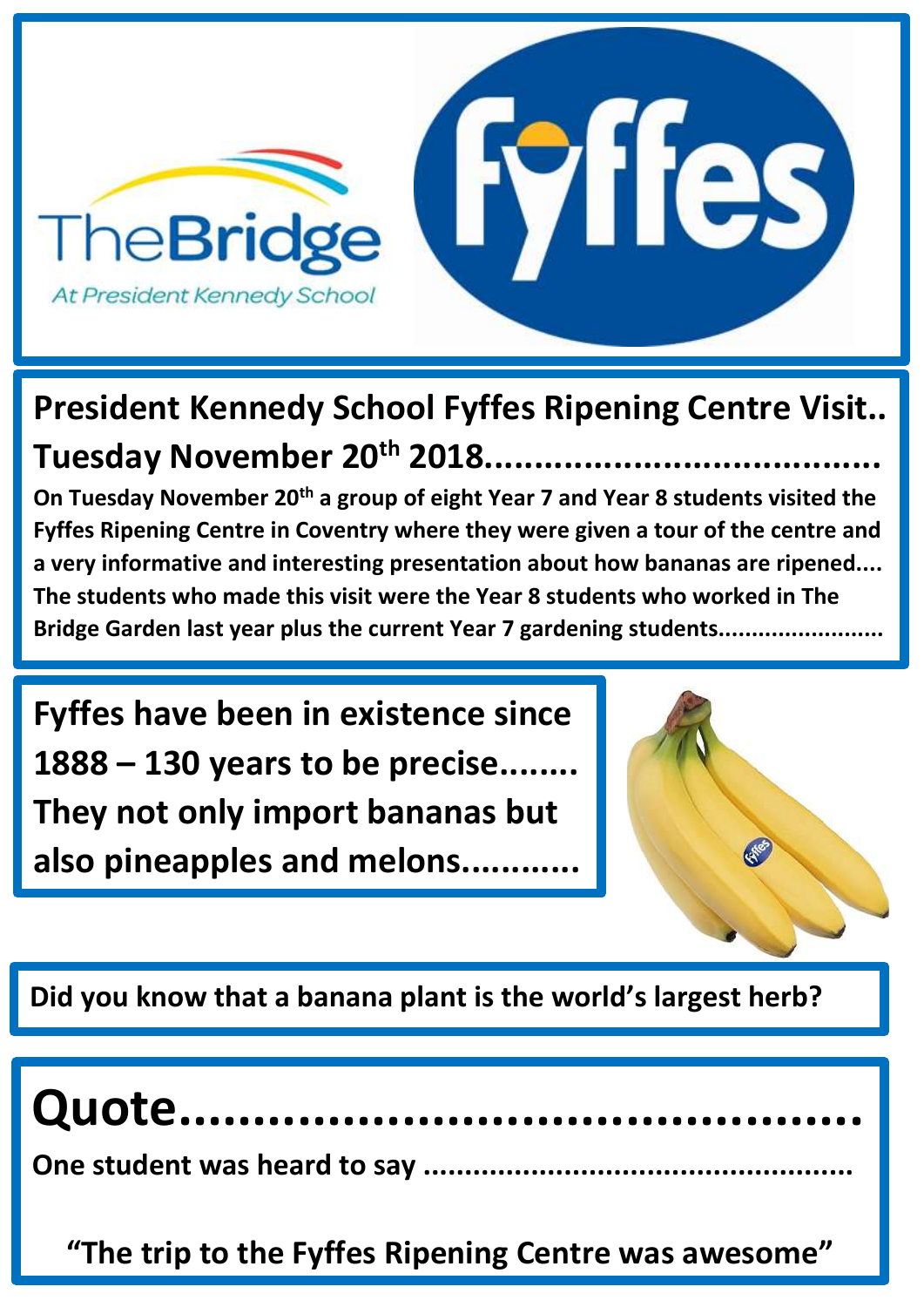

# **President Kennedy School Fyffes Ripening Centre Visit.. Tuesday November 20th 2018........................................**

**On Tuesday November 20th a group of eight Year 7 and Year 8 students visited the Fyffes Ripening Centre in Coventry where they were given a tour of the centre and a very informative and interesting presentation about how bananas are ripened.... The students who made this visit were the Year 8 students who worked in The Bridge Garden last year plus the current Year 7 gardening students.........................** 

**Fyffes have been in existence since 1888 – 130 years to be precise........ They not only import bananas but also pineapples and melons............**



**Did you know that a banana plant is the world's largest herb?**

# **Quote..............................................**

**One student was heard to say ....................................................**

**"The trip to the Fyffes Ripening Centre was awesome"**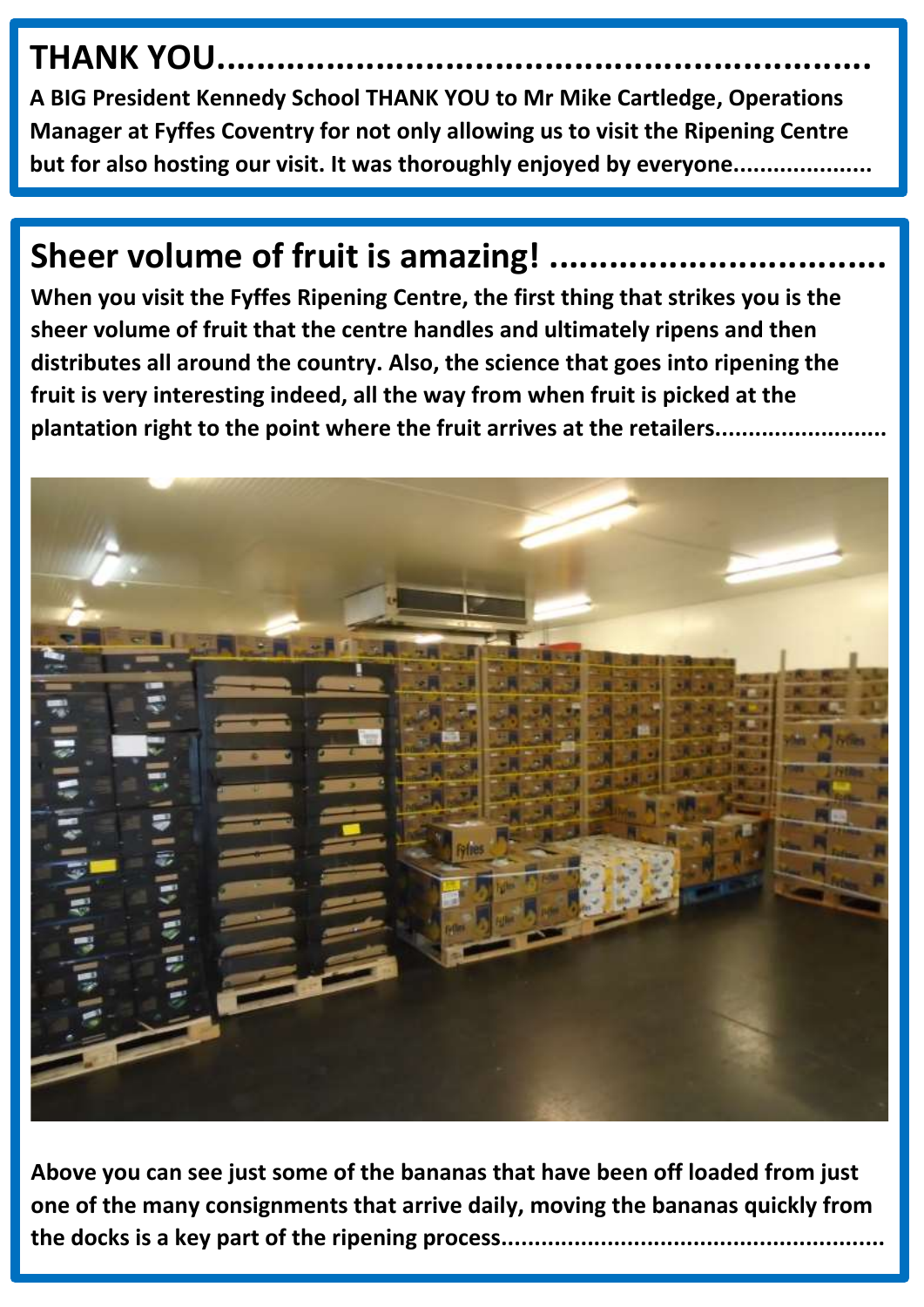# **THANK YOU...**

**A BIG President Kennedy School THANK YOU to Mr Mike Cartledge, Operations Manager at Fyffes Coventry for not only allowing us to visit the Ripening Centre but for also hosting our visit. It was thoroughly enjoyed by everyone.....................** 

# **Sheer volume of fruit is amazing!**

**When you visit the Fyffes Ripening Centre, the first thing that strikes you is the sheer volume of fruit that the centre handles and ultimately ripens and then distributes all around the country. Also, the science that goes into ripening the fruit is very interesting indeed, all the way from when fruit is picked at the plantation right to the point where the fruit arrives at the retailers..........................**



**Above you can see just some of the bananas that have been off loaded from just one of the many consignments that arrive daily, moving the bananas quickly from the docks is a key part of the ripening process..........................................................**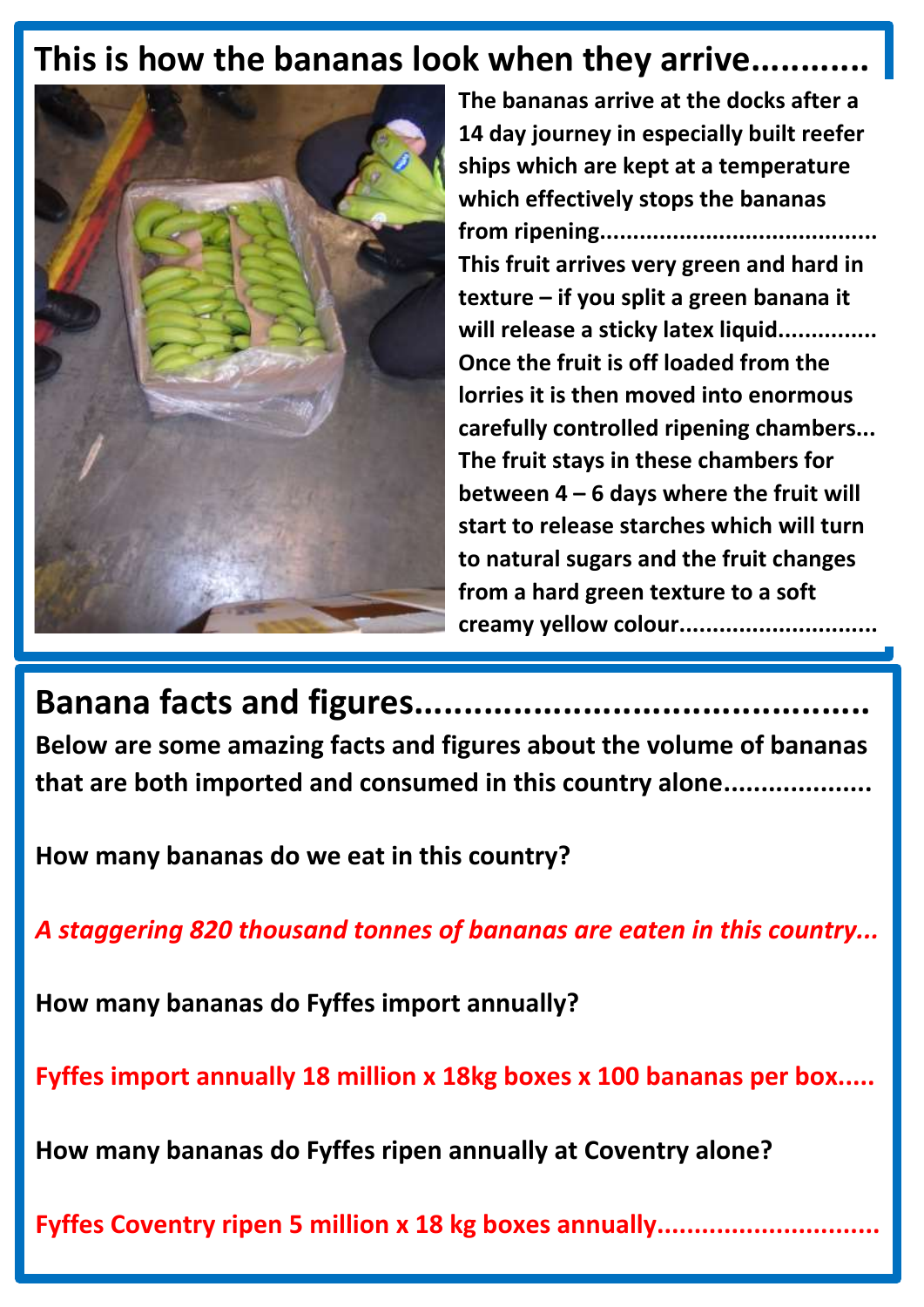#### **This is how the bananas look when they arrive............**



**The bananas arrive at the docks after a 14 day journey in especially built reefer ships which are kept at a temperature which effectively stops the bananas from ripening.......................................... This fruit arrives very green and hard in texture – if you split a green banana it will release a sticky latex liquid............... Once the fruit is off loaded from the lorries it is then moved into enormous carefully controlled ripening chambers... The fruit stays in these chambers for between 4 – 6 days where the fruit will start to release starches which will turn to natural sugars and the fruit changes from a hard green texture to a soft creamy yellow colour..............................** 

**Banana facts and figures.............................................. Below are some amazing facts and figures about the volume of bananas that are both imported and consumed in this country alone....................**

**How many bananas do we eat in this country?**

*A staggering 820 thousand tonnes of bananas are eaten in this country...*

**How many bananas do Fyffes import annually?**

**Fyffes import annually 18 million x 18kg boxes x 100 bananas per box.....**

**How many bananas do Fyffes ripen annually at Coventry alone?**

**Fyffes Coventry ripen 5 million x 18 kg boxes annually..............................**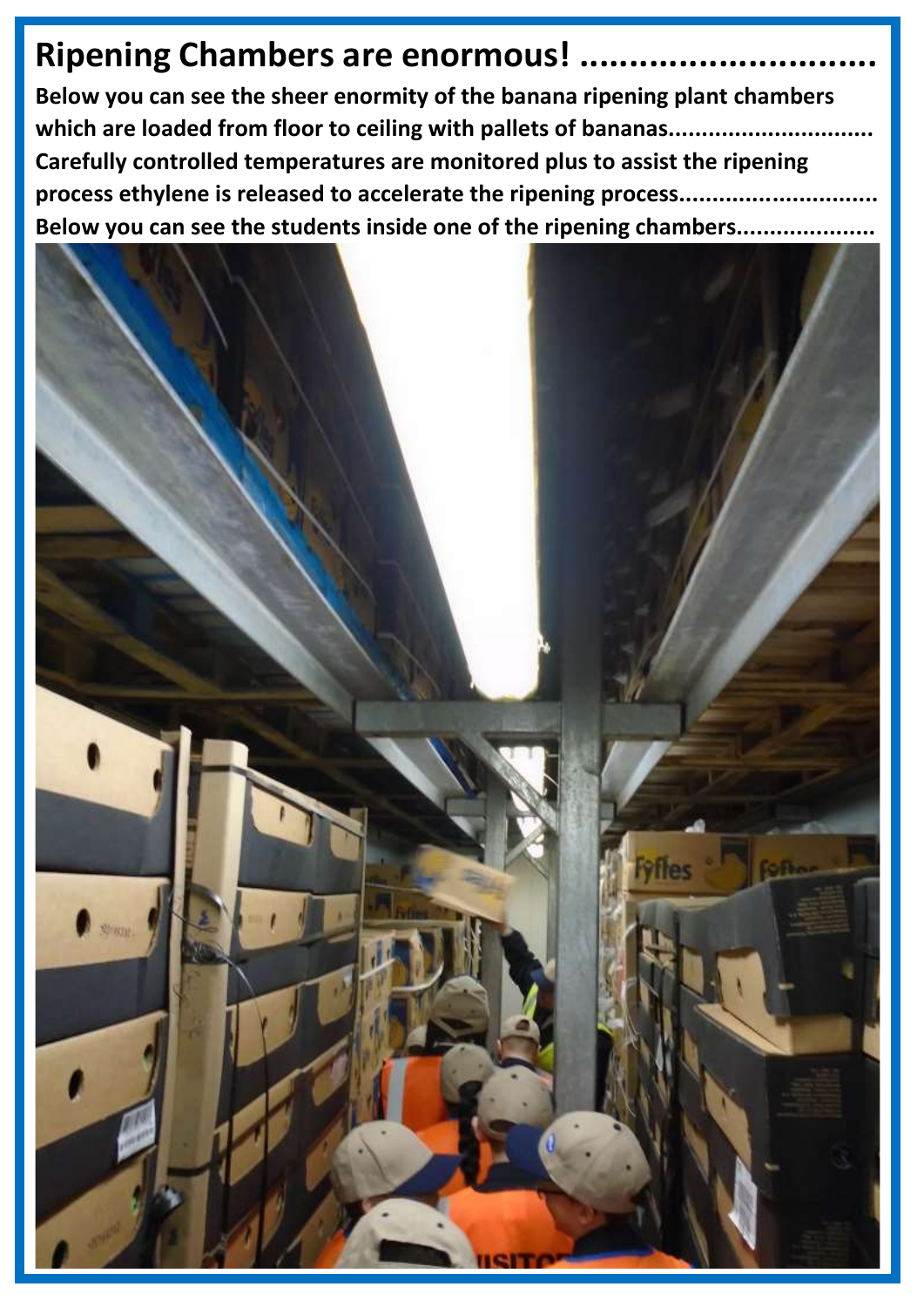### **Ripening Chambers are enormous!..**

**Below you can see the sheer enormity of the banana ripening plant chambers which are loaded from floor to ceiling with pallets of bananas............................... Carefully controlled temperatures are monitored plus to assist the ripening process ethylene is released to accelerate the ripening process.............................. Below you can see the students inside one of the ripening chambers.....................**

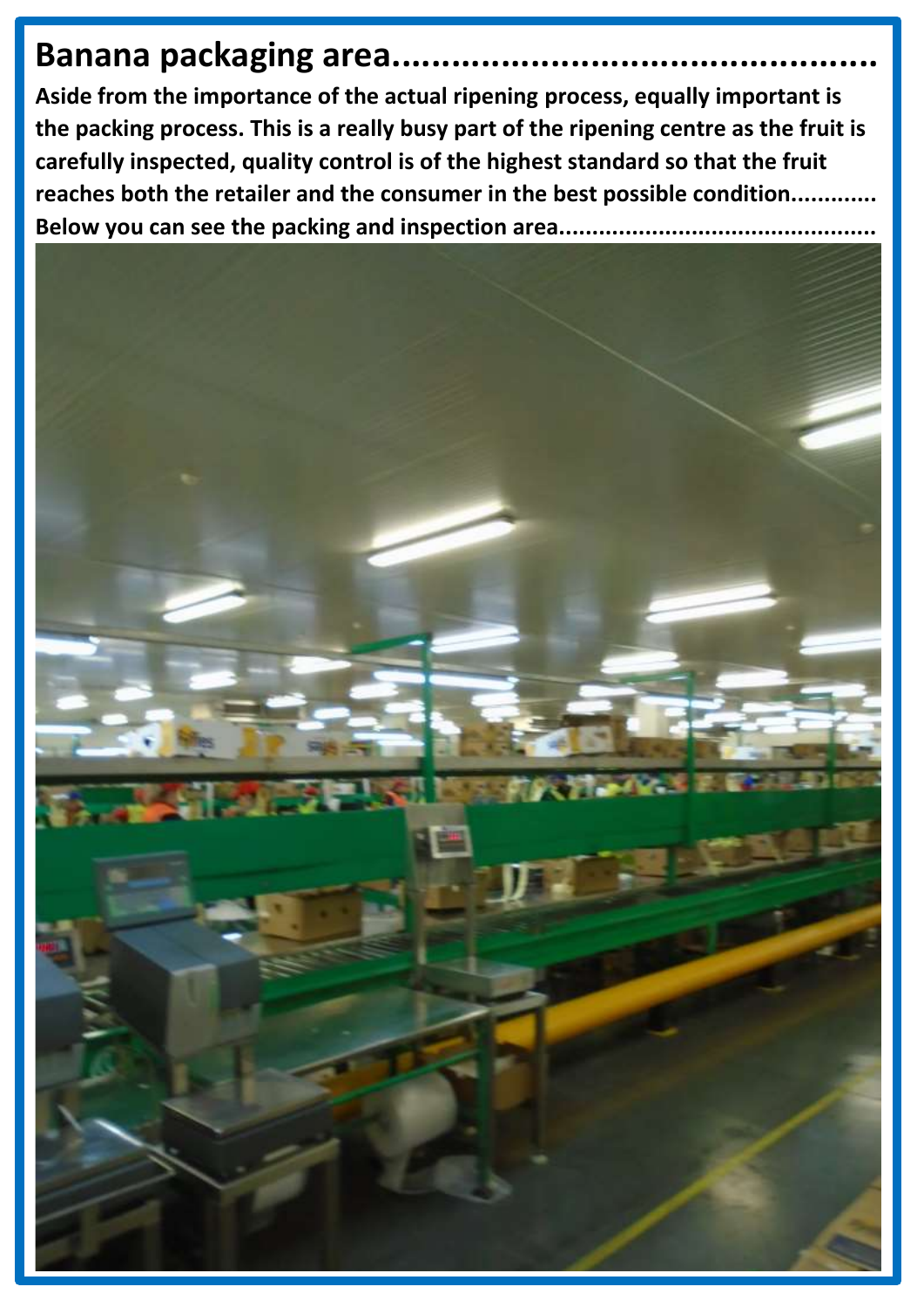## **Banana packaging area.......**

**Aside from the importance of the actual ripening process, equally important is the packing process. This is a really busy part of the ripening centre as the fruit is carefully inspected, quality control is of the highest standard so that the fruit reaches both the retailer and the consumer in the best possible condition.............** Below you can see the packing and inspection area...............................